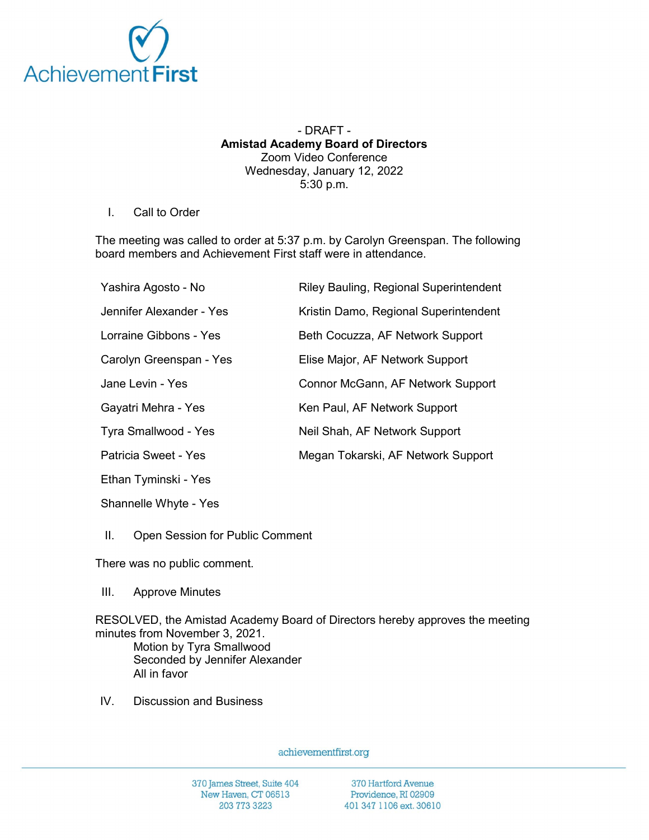

## - DRAFT - Amistad Academy Board of Directors Zoom Video Conference Wednesday, January 12, 2022 5:30 p.m.

## I. Call to Order

The meeting was called to order at 5:37 p.m. by Carolyn Greenspan. The following board members and Achievement First staff were in attendance.

| Yashira Agosto - No      | Riley Bauling, Regional Superintendent |
|--------------------------|----------------------------------------|
| Jennifer Alexander - Yes | Kristin Damo, Regional Superintendent  |
| Lorraine Gibbons - Yes   | Beth Cocuzza, AF Network Support       |
| Carolyn Greenspan - Yes  | Elise Major, AF Network Support        |
| Jane Levin - Yes         | Connor McGann, AF Network Support      |
| Gayatri Mehra - Yes      | Ken Paul, AF Network Support           |
| Tyra Smallwood - Yes     | Neil Shah, AF Network Support          |
| Patricia Sweet - Yes     | Megan Tokarski, AF Network Support     |
| Ethan Tyminski - Yes     |                                        |

Shannelle Whyte - Yes

II. Open Session for Public Comment

There was no public comment.

III. Approve Minutes

RESOLVED, the Amistad Academy Board of Directors hereby approves the meeting minutes from November 3, 2021.

Motion by Tyra Smallwood Seconded by Jennifer Alexander All in favor

IV. Discussion and Business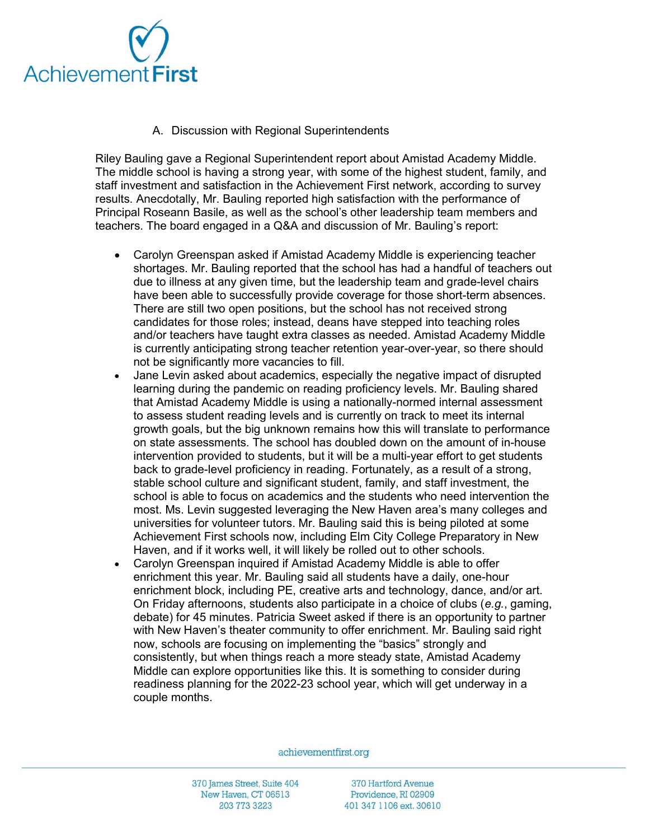

A. Discussion with Regional Superintendents

Riley Bauling gave a Regional Superintendent report about Amistad Academy Middle. The middle school is having a strong year, with some of the highest student, family, and staff investment and satisfaction in the Achievement First network, according to survey results. Anecdotally, Mr. Bauling reported high satisfaction with the performance of Principal Roseann Basile, as well as the school's other leadership team members and teachers. The board engaged in a Q&A and discussion of Mr. Bauling's report:

- Carolyn Greenspan asked if Amistad Academy Middle is experiencing teacher shortages. Mr. Bauling reported that the school has had a handful of teachers out due to illness at any given time, but the leadership team and grade-level chairs have been able to successfully provide coverage for those short-term absences. There are still two open positions, but the school has not received strong candidates for those roles; instead, deans have stepped into teaching roles and/or teachers have taught extra classes as needed. Amistad Academy Middle is currently anticipating strong teacher retention year-over-year, so there should not be significantly more vacancies to fill.
- Jane Levin asked about academics, especially the negative impact of disrupted learning during the pandemic on reading proficiency levels. Mr. Bauling shared that Amistad Academy Middle is using a nationally-normed internal assessment to assess student reading levels and is currently on track to meet its internal growth goals, but the big unknown remains how this will translate to performance on state assessments. The school has doubled down on the amount of in-house intervention provided to students, but it will be a multi-year effort to get students back to grade-level proficiency in reading. Fortunately, as a result of a strong, stable school culture and significant student, family, and staff investment, the school is able to focus on academics and the students who need intervention the most. Ms. Levin suggested leveraging the New Haven area's many colleges and universities for volunteer tutors. Mr. Bauling said this is being piloted at some Achievement First schools now, including Elm City College Preparatory in New Haven, and if it works well, it will likely be rolled out to other schools.
- Carolyn Greenspan inquired if Amistad Academy Middle is able to offer enrichment this year. Mr. Bauling said all students have a daily, one-hour enrichment block, including PE, creative arts and technology, dance, and/or art. On Friday afternoons, students also participate in a choice of clubs  $(e.g.,$  gaming, debate) for 45 minutes. Patricia Sweet asked if there is an opportunity to partner with New Haven's theater community to offer enrichment. Mr. Bauling said right now, schools are focusing on implementing the "basics" strongly and consistently, but when things reach a more steady state, Amistad Academy Middle can explore opportunities like this. It is something to consider during readiness planning for the 2022-23 school year, which will get underway in a couple months.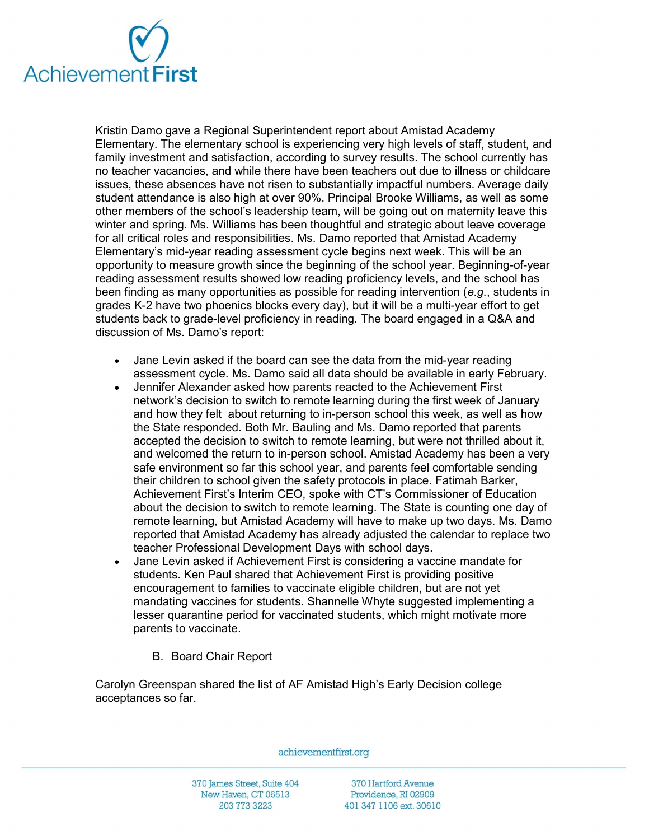

Kristin Damo gave a Regional Superintendent report about Amistad Academy Elementary. The elementary school is experiencing very high levels of staff, student, and family investment and satisfaction, according to survey results. The school currently has no teacher vacancies, and while there have been teachers out due to illness or childcare issues, these absences have not risen to substantially impactful numbers. Average daily student attendance is also high at over 90%. Principal Brooke Williams, as well as some other members of the school's leadership team, will be going out on maternity leave this winter and spring. Ms. Williams has been thoughtful and strategic about leave coverage for all critical roles and responsibilities. Ms. Damo reported that Amistad Academy Elementary's mid-year reading assessment cycle begins next week. This will be an opportunity to measure growth since the beginning of the school year. Beginning-of-year reading assessment results showed low reading proficiency levels, and the school has been finding as many opportunities as possible for reading intervention (e.g., students in grades K-2 have two phoenics blocks every day), but it will be a multi-year effort to get students back to grade-level proficiency in reading. The board engaged in a Q&A and discussion of Ms. Damo's report:

- Jane Levin asked if the board can see the data from the mid-year reading assessment cycle. Ms. Damo said all data should be available in early February.
- Jennifer Alexander asked how parents reacted to the Achievement First network's decision to switch to remote learning during the first week of January and how they felt about returning to in-person school this week, as well as how the State responded. Both Mr. Bauling and Ms. Damo reported that parents accepted the decision to switch to remote learning, but were not thrilled about it, and welcomed the return to in-person school. Amistad Academy has been a very safe environment so far this school year, and parents feel comfortable sending their children to school given the safety protocols in place. Fatimah Barker, Achievement First's Interim CEO, spoke with CT's Commissioner of Education about the decision to switch to remote learning. The State is counting one day of remote learning, but Amistad Academy will have to make up two days. Ms. Damo reported that Amistad Academy has already adjusted the calendar to replace two teacher Professional Development Days with school days.
- Jane Levin asked if Achievement First is considering a vaccine mandate for students. Ken Paul shared that Achievement First is providing positive encouragement to families to vaccinate eligible children, but are not yet mandating vaccines for students. Shannelle Whyte suggested implementing a lesser quarantine period for vaccinated students, which might motivate more parents to vaccinate.
	- B. Board Chair Report

Carolyn Greenspan shared the list of AF Amistad High's Early Decision college acceptances so far.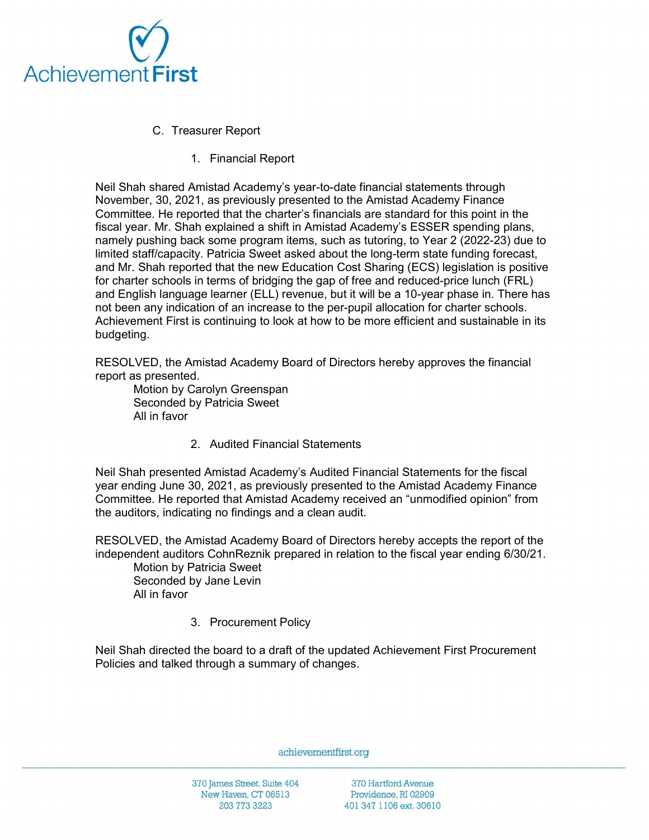

- C. Treasurer Report
	- 1. Financial Report

Neil Shah shared Amistad Academy's year-to-date financial statements through November, 30, 2021, as previously presented to the Amistad Academy Finance Committee. He reported that the charter's financials are standard for this point in the fiscal year. Mr. Shah explained a shift in Amistad Academy's ESSER spending plans, namely pushing back some program items, such as tutoring, to Year 2 (2022-23) due to limited staff/capacity. Patricia Sweet asked about the long-term state funding forecast, and Mr. Shah reported that the new Education Cost Sharing (ECS) legislation is positive for charter schools in terms of bridging the gap of free and reduced-price lunch (FRL) and English language learner (ELL) revenue, but it will be a 10-year phase in. There has not been any indication of an increase to the per-pupil allocation for charter schools. Achievement First is continuing to look at how to be more efficient and sustainable in its budgeting.

RESOLVED, the Amistad Academy Board of Directors hereby approves the financial report as presented.

Motion by Carolyn Greenspan Seconded by Patricia Sweet All in favor

2. Audited Financial Statements

Neil Shah presented Amistad Academy's Audited Financial Statements for the fiscal year ending June 30, 2021, as previously presented to the Amistad Academy Finance Committee. He reported that Amistad Academy received an "unmodified opinion" from the auditors, indicating no findings and a clean audit.

RESOLVED, the Amistad Academy Board of Directors hereby accepts the report of the independent auditors CohnReznik prepared in relation to the fiscal year ending 6/30/21.

Motion by Patricia Sweet Seconded by Jane Levin All in favor

3. Procurement Policy

Neil Shah directed the board to a draft of the updated Achievement First Procurement Policies and talked through a summary of changes.